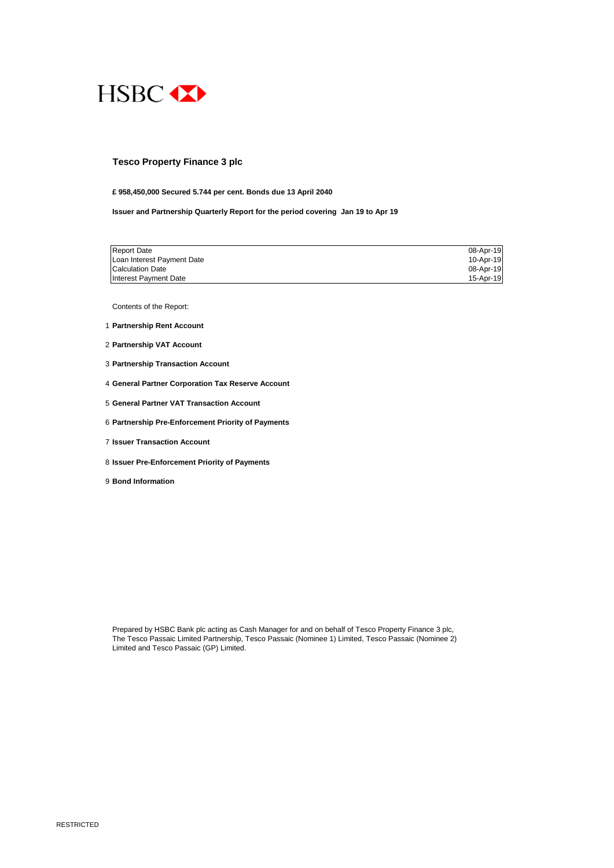

#### **Tesco Property Finance 3 plc**

### **£ 958,450,000 Secured 5.744 per cent. Bonds due 13 April 2040**

**Issuer and Partnership Quarterly Report for the period covering Jan 19 to Apr 19**

| <b>Report Date</b>         | 08-Apr-19 |
|----------------------------|-----------|
| Loan Interest Payment Date | 10-Apr-19 |
| Calculation Date           | 08-Apr-19 |
| Interest Payment Date      | 15-Apr-19 |

Contents of the Report:

- 1 **Partnership Rent Account**
- 2 **Partnership VAT Account**
- 3 **Partnership Transaction Account**
- 4 **General Partner Corporation Tax Reserve Account**
- 5 **General Partner VAT Transaction Account**
- 6 **Partnership Pre-Enforcement Priority of Payments**
- 7 **Issuer Transaction Account**
- 8 **Issuer Pre-Enforcement Priority of Payments**
- 9 **Bond Information**

Prepared by HSBC Bank plc acting as Cash Manager for and on behalf of Tesco Property Finance 3 plc, The Tesco Passaic Limited Partnership, Tesco Passaic (Nominee 1) Limited, Tesco Passaic (Nominee 2) Limited and Tesco Passaic (GP) Limited.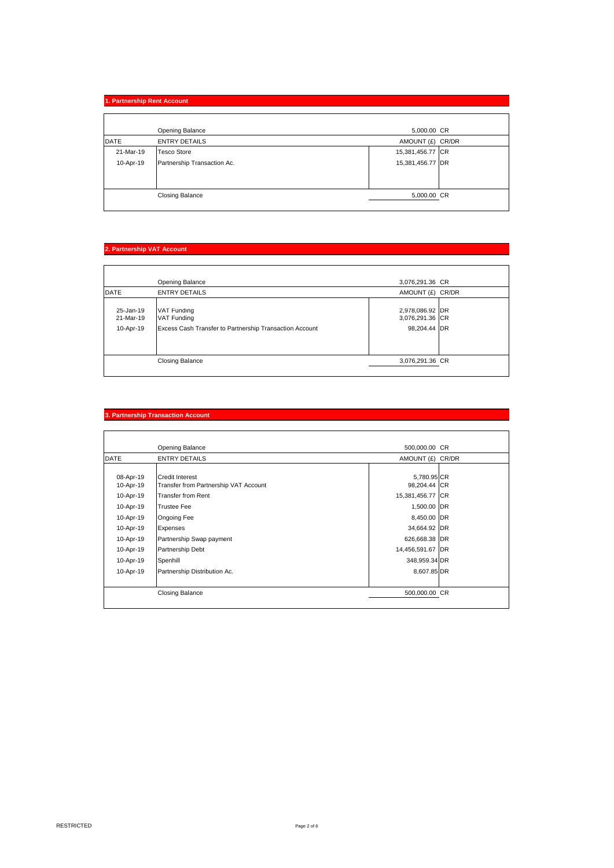|             | 1. Partnership Rent Account |                  |  |
|-------------|-----------------------------|------------------|--|
|             |                             |                  |  |
|             | Opening Balance             | 5,000.00 CR      |  |
| <b>DATE</b> | <b>ENTRY DETAILS</b>        | AMOUNT (£) CR/DR |  |
| 21-Mar-19   | <b>Tesco Store</b>          | 15,381,456.77 CR |  |
| 10-Apr-19   | Partnership Transaction Ac. | 15,381,456.77 DR |  |
|             |                             |                  |  |
|             |                             |                  |  |
|             | <b>Closing Balance</b>      | 5,000.00 CR      |  |
|             |                             |                  |  |

# **2. Partnership VAT Account**

|                                     | Opening Balance                                                                                     | 3,076,291.36 CR                                    |  |
|-------------------------------------|-----------------------------------------------------------------------------------------------------|----------------------------------------------------|--|
| <b>DATE</b>                         | <b>ENTRY DETAILS</b>                                                                                | AMOUNT (£) CR/DR                                   |  |
| 25-Jan-19<br>21-Mar-19<br>10-Apr-19 | <b>VAT Funding</b><br><b>VAT Funding</b><br>Excess Cash Transfer to Partnership Transaction Account | 2,978,086.92 DR<br>3,076,291.36 CR<br>98.204.44 DR |  |
|                                     | <b>Closing Balance</b>                                                                              | 3,076,291.36 CR                                    |  |
|                                     |                                                                                                     |                                                    |  |

# **3. Partnership Transaction Account**

|             | Opening Balance                       | 500,000,00 CR    |  |
|-------------|---------------------------------------|------------------|--|
| <b>DATE</b> | <b>ENTRY DETAILS</b>                  | AMOUNT (£) CR/DR |  |
|             |                                       |                  |  |
| 08-Apr-19   | <b>Credit Interest</b>                | 5,780.95 CR      |  |
| 10-Apr-19   | Transfer from Partnership VAT Account | 98,204.44 CR     |  |
| 10-Apr-19   | <b>Transfer from Rent</b>             | 15,381,456.77 CR |  |
| 10-Apr-19   | <b>Trustee Fee</b>                    | 1,500.00 DR      |  |
| 10-Apr-19   | <b>Ongoing Fee</b>                    | 8,450.00 DR      |  |
| 10-Apr-19   | Expenses                              | 34,664.92 DR     |  |
| 10-Apr-19   | Partnership Swap payment              | 626,668.38 DR    |  |
| 10-Apr-19   | Partnership Debt                      | 14,456,591.67 DR |  |
| 10-Apr-19   | Spenhill                              | 348,959.34 DR    |  |
| 10-Apr-19   | Partnership Distribution Ac.          | 8,607.85 DR      |  |
|             |                                       |                  |  |
|             | <b>Closing Balance</b>                | 500,000.00 CR    |  |
|             |                                       |                  |  |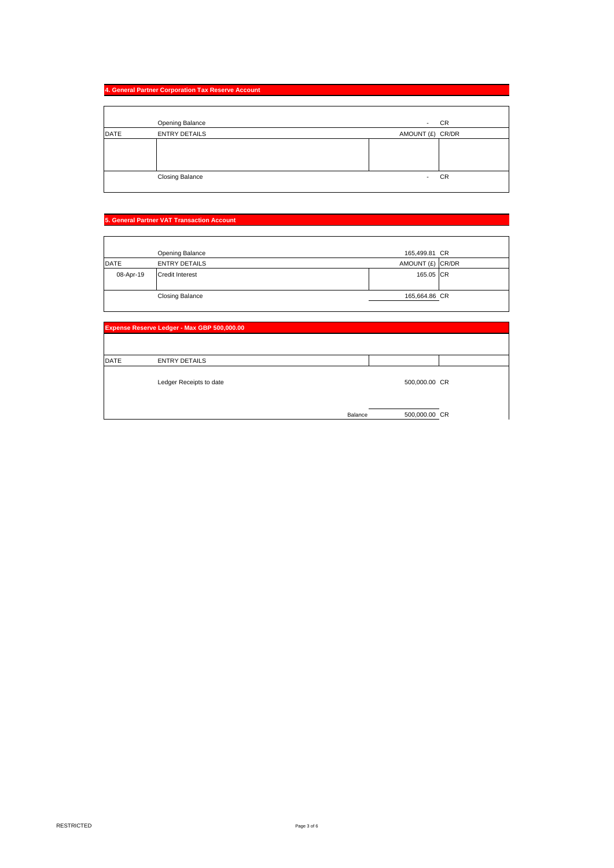# **4. General Partner Corporation Tax Reserve Account**

|             | Opening Balance        | CR<br>$\overline{\phantom{a}}$ |
|-------------|------------------------|--------------------------------|
| <b>DATE</b> | <b>ENTRY DETAILS</b>   | AMOUNT (£) CR/DR               |
|             |                        |                                |
|             |                        |                                |
|             | <b>Closing Balance</b> | <b>CR</b><br>٠                 |

# **5. General Partner VAT Transaction Account**

|             | Opening Balance        | 165,499.81 CR    |  |
|-------------|------------------------|------------------|--|
| <b>DATE</b> | <b>ENTRY DETAILS</b>   | AMOUNT (£) CR/DR |  |
| 08-Apr-19   | <b>Credit Interest</b> | 165.05 CR        |  |
|             | <b>Closing Balance</b> | 165,664.86 CR    |  |

| Expense Reserve Ledger - Max GBP 500,000.00 |                         |         |               |  |
|---------------------------------------------|-------------------------|---------|---------------|--|
|                                             |                         |         |               |  |
| <b>DATE</b>                                 | <b>ENTRY DETAILS</b>    |         |               |  |
|                                             | Ledger Receipts to date |         | 500,000.00 CR |  |
|                                             |                         | Balance | 500,000.00 CR |  |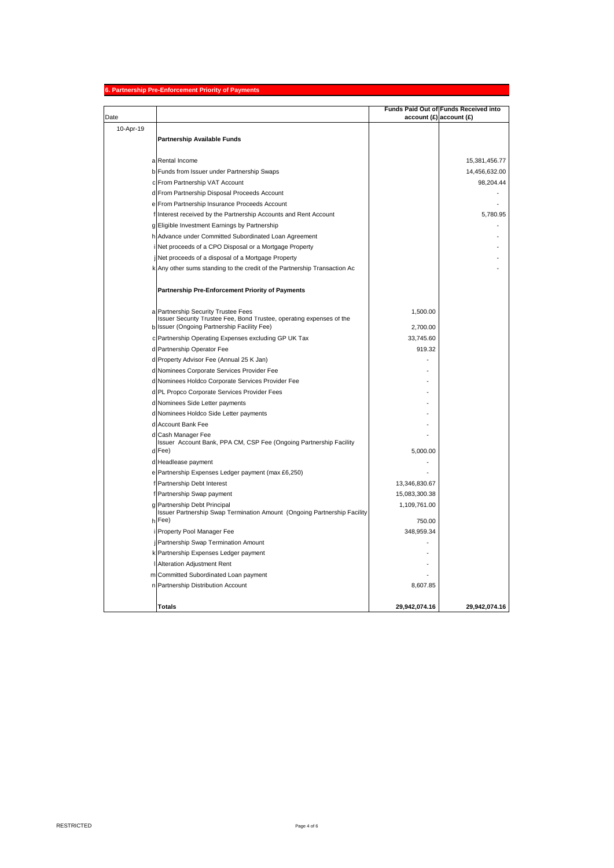### **6. Partnership Pre-Enforcement Priority of Payments**

| Date      |                                                                              | $account(E)$ account $(E)$ | Funds Paid Out of Funds Received into |
|-----------|------------------------------------------------------------------------------|----------------------------|---------------------------------------|
| 10-Apr-19 |                                                                              |                            |                                       |
|           | <b>Partnership Available Funds</b>                                           |                            |                                       |
|           |                                                                              |                            |                                       |
|           | a Rental Income                                                              |                            | 15,381,456.77                         |
|           | b Funds from Issuer under Partnership Swaps                                  |                            | 14,456,632.00                         |
|           | c From Partnership VAT Account                                               |                            | 98,204.44                             |
|           | d From Partnership Disposal Proceeds Account                                 |                            |                                       |
|           | e From Partnership Insurance Proceeds Account                                |                            |                                       |
|           | f Interest received by the Partnership Accounts and Rent Account             |                            | 5,780.95                              |
|           | g Eligible Investment Earnings by Partnership                                |                            |                                       |
|           | h Advance under Committed Subordinated Loan Agreement                        |                            |                                       |
|           | i Net proceeds of a CPO Disposal or a Mortgage Property                      |                            |                                       |
|           | jNet proceeds of a disposal of a Mortgage Property                           |                            |                                       |
|           | k Any other sums standing to the credit of the Partnership Transaction Ac    |                            |                                       |
|           |                                                                              |                            |                                       |
|           | Partnership Pre-Enforcement Priority of Payments                             |                            |                                       |
|           | a Partnership Security Trustee Fees                                          | 1,500.00                   |                                       |
|           | Issuer Security Trustee Fee, Bond Trustee, operating expenses of the         |                            |                                       |
|           | b Issuer (Ongoing Partnership Facility Fee)                                  | 2,700.00                   |                                       |
|           | c Partnership Operating Expenses excluding GP UK Tax                         | 33,745.60                  |                                       |
|           | d Partnership Operator Fee                                                   | 919.32                     |                                       |
|           | d Property Advisor Fee (Annual 25 K Jan)                                     |                            |                                       |
|           | d Nominees Corporate Services Provider Fee                                   |                            |                                       |
|           | d Nominees Holdco Corporate Services Provider Fee                            |                            |                                       |
|           | d PL Propco Corporate Services Provider Fees                                 |                            |                                       |
|           | d Nominees Side Letter payments                                              |                            |                                       |
|           | d Nominees Holdco Side Letter payments                                       |                            |                                       |
|           | d Account Bank Fee                                                           |                            |                                       |
|           | d Cash Manager Fee                                                           |                            |                                       |
|           | Issuer Account Bank, PPA CM, CSP Fee (Ongoing Partnership Facility<br>d Fee) | 5,000.00                   |                                       |
|           | d Headlease payment                                                          |                            |                                       |
|           | e Partnership Expenses Ledger payment (max £6,250)                           |                            |                                       |
|           | f Partnership Debt Interest                                                  | 13,346,830.67              |                                       |
|           | f Partnership Swap payment                                                   | 15,083,300.38              |                                       |
|           | g Partnership Debt Principal                                                 | 1,109,761.00               |                                       |
|           | Issuer Partnership Swap Termination Amount (Ongoing Partnership Facility     |                            |                                       |
|           | h Fee)                                                                       | 750.00                     |                                       |
|           | i Property Pool Manager Fee                                                  | 348,959.34                 |                                       |
|           | j Partnership Swap Termination Amount                                        |                            |                                       |
|           | k Partnership Expenses Ledger payment                                        |                            |                                       |
|           | I Alteration Adjustment Rent                                                 |                            |                                       |
|           | m Committed Subordinated Loan payment                                        |                            |                                       |
|           | n Partnership Distribution Account                                           | 8,607.85                   |                                       |
|           | <b>Totals</b>                                                                | 29,942,074.16              | 29,942,074.16                         |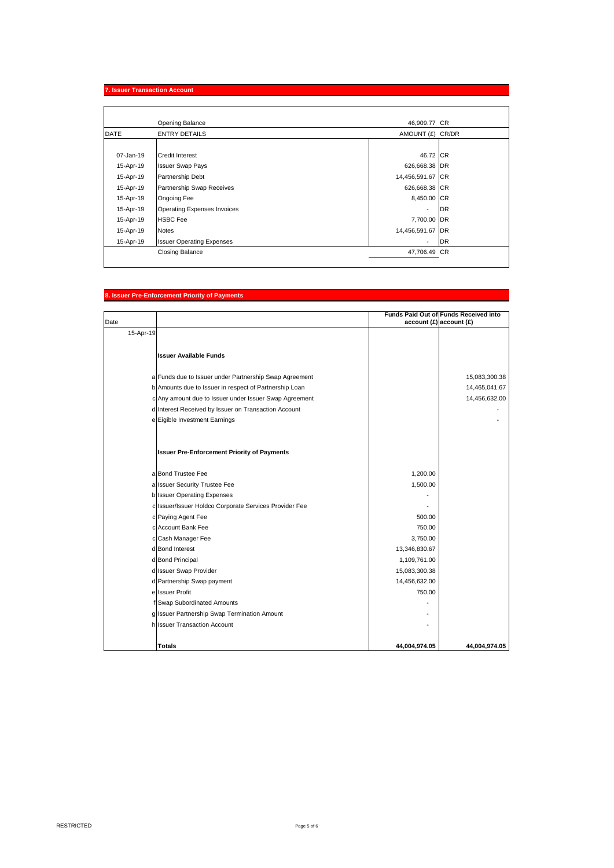# **7. Issuer Transaction Account**

|             | <b>Opening Balance</b>             | 46,909.77 CR     |           |
|-------------|------------------------------------|------------------|-----------|
| <b>DATE</b> | <b>ENTRY DETAILS</b>               | AMOUNT (£) CR/DR |           |
|             |                                    |                  |           |
| 07-Jan-19   | Credit Interest                    | 46.72 CR         |           |
| 15-Apr-19   | <b>Issuer Swap Pays</b>            | 626,668.38 DR    |           |
| 15-Apr-19   | Partnership Debt                   | 14,456,591.67 CR |           |
| 15-Apr-19   | Partnership Swap Receives          | 626,668.38 CR    |           |
| 15-Apr-19   | Ongoing Fee                        | 8,450.00 CR      |           |
| 15-Apr-19   | <b>Operating Expenses Invoices</b> |                  | <b>DR</b> |
| 15-Apr-19   | <b>HSBC Fee</b>                    | 7,700.00 DR      |           |
| 15-Apr-19   | <b>Notes</b>                       | 14,456,591.67 DR |           |
| 15-Apr-19   | <b>Issuer Operating Expenses</b>   | ٠                | <b>DR</b> |
|             | <b>Closing Balance</b>             | 47,706.49 CR     |           |

# **8. Issuer Pre-Enforcement Priority of Payments**

|           |                                                        |               | Funds Paid Out of Funds Received into |
|-----------|--------------------------------------------------------|---------------|---------------------------------------|
| Date      |                                                        |               | $account(E)$ account $(E)$            |
| 15-Apr-19 |                                                        |               |                                       |
|           |                                                        |               |                                       |
|           | <b>Issuer Available Funds</b>                          |               |                                       |
|           |                                                        |               |                                       |
|           | a Funds due to Issuer under Partnership Swap Agreement |               | 15,083,300.38                         |
|           | b Amounts due to Issuer in respect of Partnership Loan |               | 14,465,041.67                         |
|           | c Any amount due to Issuer under Issuer Swap Agreement |               | 14,456,632.00                         |
|           | d Interest Received by Issuer on Transaction Account   |               |                                       |
|           | e Eigible Investment Earnings                          |               |                                       |
|           |                                                        |               |                                       |
|           |                                                        |               |                                       |
|           | <b>Issuer Pre-Enforcement Priority of Payments</b>     |               |                                       |
|           | a Bond Trustee Fee                                     | 1,200.00      |                                       |
|           | a Issuer Security Trustee Fee                          | 1,500.00      |                                       |
|           | b Issuer Operating Expenses                            |               |                                       |
|           | c Issuer/Issuer Holdco Corporate Services Provider Fee |               |                                       |
|           | c Paying Agent Fee                                     | 500.00        |                                       |
|           | c Account Bank Fee                                     | 750.00        |                                       |
|           | c Cash Manager Fee                                     | 3,750.00      |                                       |
|           | d Bond Interest                                        | 13,346,830.67 |                                       |
|           | d Bond Principal                                       | 1,109,761.00  |                                       |
|           | d Issuer Swap Provider                                 | 15,083,300.38 |                                       |
|           | d Partnership Swap payment                             | 14,456,632.00 |                                       |
|           | e Issuer Profit                                        | 750.00        |                                       |
|           | f Swap Subordinated Amounts                            |               |                                       |
|           | g Issuer Partnership Swap Termination Amount           |               |                                       |
|           | h Issuer Transaction Account                           |               |                                       |
|           |                                                        |               |                                       |
|           | <b>Totals</b>                                          | 44,004,974.05 | 44.004.974.05                         |